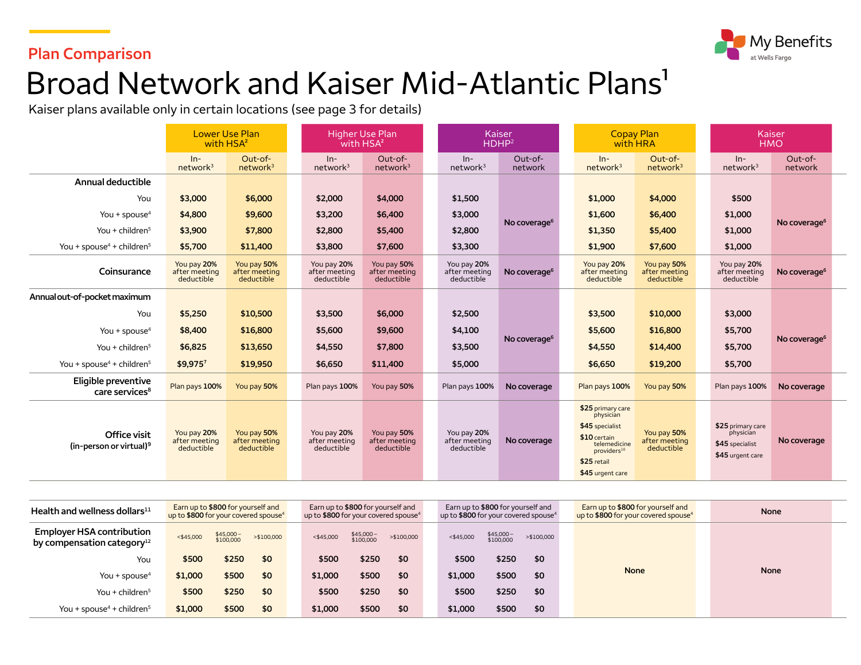### **Plan Comparison**



# Broad Network and Kaiser Mid-Atlantic Plans<sup>1</sup>

Kaiser plans available only in certain locations (see page 3 for details)

|                                                     | <b>Lower Use Plan</b><br>with HSA <sup>2</sup> |                                            | <b>Higher Use Plan</b><br>with HSA <sup>2</sup> |                                            | Kaiser<br>HDHP <sup>2</sup>                |                          |  | <b>Copay Plan</b><br>with HRA                                                                                                                   |                                            |  |                                                                       | Kaiser<br><b>HMO</b>     |  |
|-----------------------------------------------------|------------------------------------------------|--------------------------------------------|-------------------------------------------------|--------------------------------------------|--------------------------------------------|--------------------------|--|-------------------------------------------------------------------------------------------------------------------------------------------------|--------------------------------------------|--|-----------------------------------------------------------------------|--------------------------|--|
|                                                     | $ln-$<br>network <sup>3</sup>                  | Out-of-<br>network <sup>3</sup>            | $In-$<br>network <sup>3</sup>                   | Out-of-<br>network <sup>3</sup>            | $In-$<br>network <sup>3</sup>              | Out-of-<br>network       |  | $ln-$<br>network <sup>3</sup>                                                                                                                   | Out-of-<br>network <sup>3</sup>            |  | $In-$<br>network <sup>3</sup>                                         | Out-of-<br>network       |  |
| Annual deductible                                   |                                                |                                            |                                                 |                                            |                                            |                          |  |                                                                                                                                                 |                                            |  |                                                                       |                          |  |
| You                                                 | \$3,000                                        | \$6,000                                    | \$2,000                                         | \$4,000                                    | \$1,500                                    |                          |  | \$1,000                                                                                                                                         | \$4,000                                    |  | \$500                                                                 |                          |  |
| You + spouse $4$                                    | \$4,800                                        | \$9,600                                    | \$3,200                                         | \$6,400                                    | \$3,000                                    | No coverage <sup>6</sup> |  | \$1,600                                                                                                                                         | \$6,400                                    |  | \$1,000                                                               | No coverage <sup>6</sup> |  |
| You + children <sup>5</sup>                         | \$3,900                                        | \$7,800                                    | \$2,800                                         | \$5,400                                    | \$2,800                                    |                          |  | \$1,350                                                                                                                                         | \$5,400                                    |  | \$1,000                                                               |                          |  |
| You + spouse <sup>4</sup> + children <sup>5</sup>   | \$5,700                                        | \$11,400                                   | \$3,800                                         | \$7,600                                    | \$3,300                                    |                          |  | \$1,900                                                                                                                                         | \$7,600                                    |  | \$1,000                                                               |                          |  |
| Coinsurance                                         | You pay 20%<br>after meeting<br>deductible     | You pay 50%<br>after meeting<br>deductible | You pay 20%<br>after meeting<br>deductible      | You pay 50%<br>after meeting<br>deductible | You pay 20%<br>after meeting<br>deductible | No coverage <sup>6</sup> |  | You pay 20%<br>after meeting<br>deductible                                                                                                      | You pay 50%<br>after meeting<br>deductible |  | You pay 20%<br>after meeting<br>deductible                            | No coverage <sup>6</sup> |  |
| Annual out-of-pocket maximum                        |                                                |                                            |                                                 |                                            |                                            |                          |  |                                                                                                                                                 |                                            |  |                                                                       |                          |  |
| You                                                 | \$5,250                                        | \$10,500                                   | \$3,500                                         | \$6,000                                    | \$2,500                                    |                          |  | \$3,500                                                                                                                                         | \$10,000                                   |  | \$3,000                                                               |                          |  |
| You + spouse <sup>4</sup>                           | \$8,400                                        | \$16,800                                   | \$5,600                                         | \$9,600                                    | \$4,100                                    |                          |  | \$5,600                                                                                                                                         | \$16,800                                   |  | \$5,700                                                               |                          |  |
| You + children $5$                                  | \$6,825                                        | \$13,650                                   | \$4,550                                         | \$7,800                                    | \$3,500                                    | No coverage <sup>6</sup> |  | \$4,550                                                                                                                                         | \$14,400                                   |  | \$5,700                                                               | No coverage <sup>6</sup> |  |
| You + spouse <sup>4</sup> + children <sup>5</sup>   | \$9,9757                                       | \$19,950                                   | \$6,650                                         | \$11,400                                   | \$5,000                                    |                          |  | \$6,650                                                                                                                                         | \$19,200                                   |  | \$5,700                                                               |                          |  |
| Eligible preventive<br>care services <sup>8</sup>   | Plan pays 100%                                 | You pay 50%                                | Plan pays 100%                                  | You pay 50%                                | Plan pays 100%                             | No coverage              |  | Plan pays 100%                                                                                                                                  | You pay 50%                                |  | Plan pays 100%                                                        | No coverage              |  |
| Office visit<br>(in-person or virtual) <sup>9</sup> | You pay 20%<br>after meeting<br>deductible     | You pay 50%<br>after meeting<br>deductible | You pay 20%<br>after meeting<br>deductible      | You pay 50%<br>after meeting<br>deductible | You pay 20%<br>after meeting<br>deductible | No coverage              |  | \$25 primary care<br>physician<br>\$45 specialist<br>\$10 certain<br>telemedicine<br>providers <sup>10</sup><br>\$25 retail<br>\$45 urgent care | You pay 50%<br>after meeting<br>deductible |  | \$25 primary care<br>physician<br>\$45 specialist<br>\$45 urgent care | No coverage              |  |

| Health and wellness dollars $^{11}$                                        | Earn up to \$800 for yourself and<br>up to \$800 for your covered spouse <sup>4</sup> |                        |             | Earn up to \$800 for yourself and<br>up to \$800 for your covered spouse <sup>4</sup> |                        |             |  | Earn up to \$800 for yourself and<br>up to \$800 for your covered spouse <sup>4</sup> |                          |            | Earn up to \$800 for yourself and<br>up to \$800 for your covered spouse <sup>4</sup> | <b>None</b> |
|----------------------------------------------------------------------------|---------------------------------------------------------------------------------------|------------------------|-------------|---------------------------------------------------------------------------------------|------------------------|-------------|--|---------------------------------------------------------------------------------------|--------------------------|------------|---------------------------------------------------------------------------------------|-------------|
| <b>Employer HSA contribution</b><br>by compensation category <sup>12</sup> | $<$ \$45,000                                                                          | \$45,000-<br>\$100,000 | > \$100,000 | $<$ \$45,000                                                                          | \$45,000-<br>\$100,000 | > \$100,000 |  | $<$ \$45,000                                                                          | $$45,000-$<br>$$100,000$ | >\$100,000 |                                                                                       |             |
| You                                                                        | \$500                                                                                 | \$250                  | -\$0        | \$500                                                                                 | \$250                  | \$0         |  | \$500                                                                                 | \$250                    | -\$0       |                                                                                       |             |
| You + spouse <sup>4</sup>                                                  | \$1,000                                                                               | \$500                  | \$0         | \$1,000                                                                               | \$500                  | \$0         |  | \$1,000                                                                               | \$500                    | -\$0       | <b>None</b>                                                                           | <b>None</b> |
| You + children <sup>5</sup>                                                | \$500                                                                                 | \$250                  | \$0         | \$500                                                                                 | \$250                  | \$0         |  | \$500                                                                                 | \$250                    | \$0        |                                                                                       |             |
| You + spouse <sup>4</sup> + children <sup>5</sup>                          | \$1,000                                                                               | \$500                  | \$0         | \$1,000                                                                               | \$500                  | \$0         |  | \$1,000                                                                               | \$500                    | \$0        |                                                                                       |             |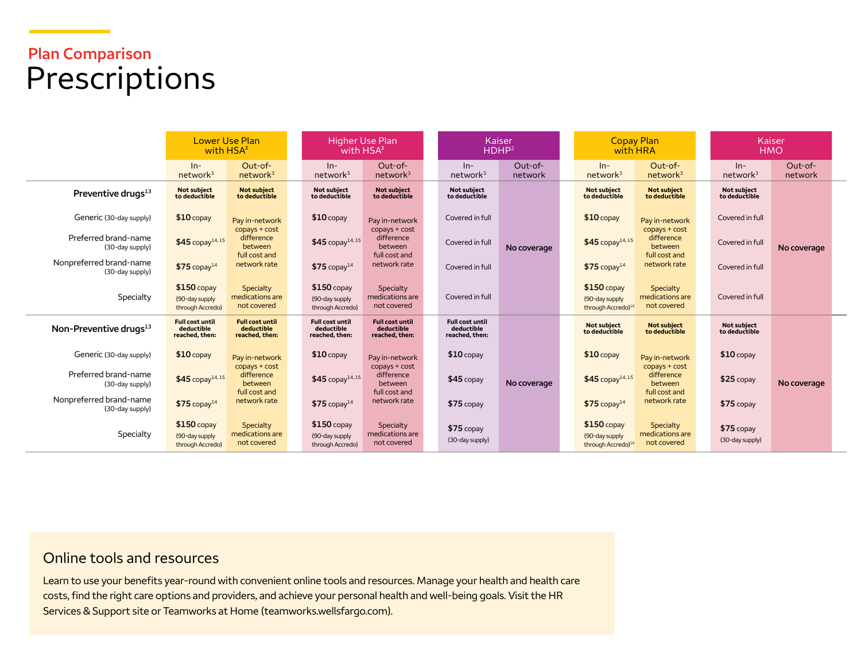## **Plan Comparison**  Prescriptions

|                                            | Lower Use Plan<br>with HSA <sup>2</sup>                |                                                         | <b>Higher Use Plan</b><br>with HSA <sup>2</sup>        |                                                          |                                                        | Kaiser<br>HDHP <sup>2</sup> |  |                                                                   | <b>Copay Plan</b><br>with HRA                           |  |                                | Kaiser<br><b>HMO</b> |  |
|--------------------------------------------|--------------------------------------------------------|---------------------------------------------------------|--------------------------------------------------------|----------------------------------------------------------|--------------------------------------------------------|-----------------------------|--|-------------------------------------------------------------------|---------------------------------------------------------|--|--------------------------------|----------------------|--|
|                                            | $In-$<br>network <sup>3</sup>                          | Out-of-<br>network <sup>3</sup>                         | $ln-$<br>network <sup>3</sup>                          | Out-of-<br>network <sup>3</sup>                          | $In-$<br>network <sup>3</sup>                          | Out-of-<br>network          |  | $ln-$<br>network <sup>3</sup>                                     | Out-of-<br>network <sup>3</sup>                         |  | $ln-$<br>network <sup>3</sup>  | Out-of-<br>network   |  |
| Preventive drugs <sup>13</sup>             | Not subject<br>to deductible                           | <b>Not subject</b><br>to deductible                     | Not subject<br>to deductible                           | Not subject<br>to deductible                             | <b>Not subiect</b><br>to deductible                    |                             |  | <b>Not subject</b><br>to deductible                               | <b>Not subject</b><br>to deductible                     |  | Not subject<br>to deductible   |                      |  |
| Generic (30-day supply)                    | $$10$ copay                                            | Pay in-network                                          | $$10$ copay                                            | Pay in-network                                           | Covered in full                                        |                             |  | $$10$ copay                                                       | Pay in-network                                          |  | Covered in full                |                      |  |
| Preferred brand-name<br>(30-day supply)    | $$45$ copay <sup>14,15</sup>                           | copays + cost<br>difference<br>between<br>full cost and | $$45$ copay <sup>14,15</sup>                           | $copys + cost$<br>difference<br>between<br>full cost and | Covered in full                                        | No coverage                 |  | $$45$ copay <sup>14,15</sup>                                      | copays + cost<br>difference<br>between<br>full cost and |  | Covered in full                | No coverage          |  |
| Nonpreferred brand-name<br>(30-day supply) | $$75$ copay <sup>14</sup>                              | network rate                                            | $$75$ copay <sup>14</sup>                              | network rate                                             | Covered in full                                        |                             |  | $$75$ copay <sup>14</sup>                                         | network rate                                            |  | Covered in full                |                      |  |
| Specialty                                  | $$150$ copay<br>(90-day supply<br>through Accredo)     | Specialty<br>medications are<br>not covered             | $$150$ copay<br>(90-day supply<br>through Accredo)     | Specialty<br>medications are<br>not covered              | Covered in full                                        |                             |  | $$150$ copay<br>(90-day supply<br>through Accredo) <sup>16</sup>  | Specialty<br>medications are<br>not covered             |  | Covered in full                |                      |  |
| Non-Preventive drugs <sup>13</sup>         | <b>Full cost until</b><br>deductible<br>reached, then: | <b>Full cost until</b><br>deductible<br>reached, then:  | <b>Full cost until</b><br>deductible<br>reached, then: | <b>Full cost until</b><br>deductible<br>reached, then:   | <b>Full cost until</b><br>deductible<br>reached, then: |                             |  | <b>Not subject</b><br>to deductible                               | <b>Not subject</b><br>to deductible                     |  | Not subject<br>to deductible   |                      |  |
| Generic (30-day supply)                    | $$10$ copay                                            | Pay in-network                                          | $$10$ copay                                            | Pay in-network                                           | $$10$ copay                                            |                             |  | $$10$ copay                                                       | Pay in-network                                          |  | $$10$ copay                    |                      |  |
| Preferred brand-name<br>(30-day supply)    | $$45$ copay <sup>14,15</sup>                           | copays + cost<br>difference<br>between<br>full cost and | $$45$ copay <sup>14,15</sup>                           | copays + cost<br>difference<br>between                   | $$45$ copay                                            | No coverage                 |  | $$45$ copay <sup>14,15</sup>                                      | copays + cost<br>difference<br>between                  |  | $$25$ copay                    | No coverage          |  |
| Nonpreferred brand-name<br>(30-day supply) | $$75$ copay <sup>14</sup>                              | network rate                                            | $$75$ copay <sup>14</sup>                              | full cost and<br>network rate                            | $$75$ copay                                            |                             |  | $$75$ copay <sup>14</sup>                                         | full cost and<br>network rate                           |  | $$75$ copay                    |                      |  |
| Specialty                                  | $$150$ copay<br>(90-day supply)<br>through Accredo)    | Specialty<br>medications are<br>not covered             | $$150$ copay<br>(90-day supply<br>through Accredo)     | Specialty<br>medications are<br>not covered              | $$75$ copay<br>(30-day supply)                         |                             |  | $$150$ copay<br>(90-day supply)<br>through Accredo) <sup>16</sup> | Specialty<br>medications are<br>not covered             |  | $$75$ copay<br>(30-day supply) |                      |  |

#### Online tools and resources

Learn to use your benefits year-round with convenient online tools and resources. Manage your health and health care costs, find the right care options and providers, and achieve your personal health and well-being goals. Visit the HR Services & Support site or Teamworks at Home [\(teamworks.wellsfargo.com\)](http://www.teamworks.wellsfargo.com).